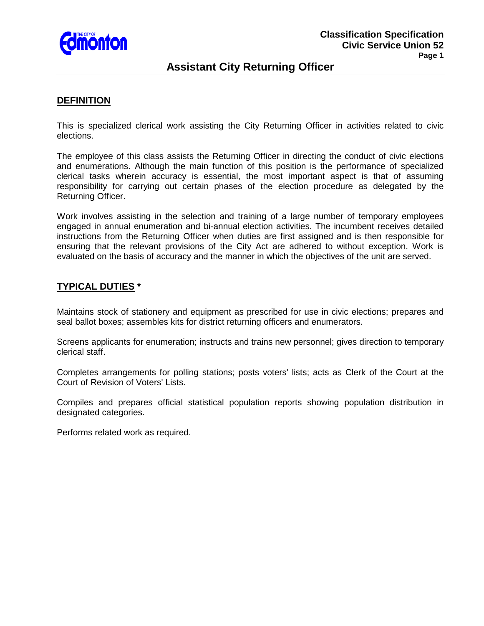

# **Assistant City Returning Officer**

### **DEFINITION**

This is specialized clerical work assisting the City Returning Officer in activities related to civic elections.

The employee of this class assists the Returning Officer in directing the conduct of civic elections and enumerations. Although the main function of this position is the performance of specialized clerical tasks wherein accuracy is essential, the most important aspect is that of assuming responsibility for carrying out certain phases of the election procedure as delegated by the Returning Officer.

Work involves assisting in the selection and training of a large number of temporary employees engaged in annual enumeration and bi-annual election activities. The incumbent receives detailed instructions from the Returning Officer when duties are first assigned and is then responsible for ensuring that the relevant provisions of the City Act are adhered to without exception. Work is evaluated on the basis of accuracy and the manner in which the objectives of the unit are served.

### **TYPICAL DUTIES \***

Maintains stock of stationery and equipment as prescribed for use in civic elections; prepares and seal ballot boxes; assembles kits for district returning officers and enumerators.

Screens applicants for enumeration; instructs and trains new personnel; gives direction to temporary clerical staff.

Completes arrangements for polling stations; posts voters' lists; acts as Clerk of the Court at the Court of Revision of Voters' Lists.

Compiles and prepares official statistical population reports showing population distribution in designated categories.

Performs related work as required.